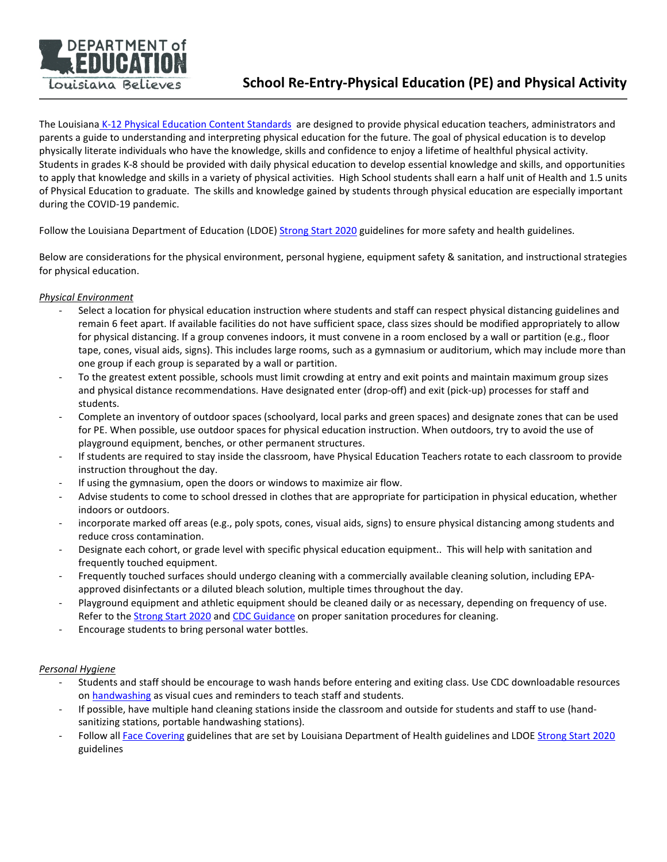

The Louisiana [K-12 Physical Education Content Standards](https://www.louisianabelieves.com/docs/default-source/academic-standards/physical-education-handbook.pdf?sfvrsn=20) are designed to provide physical education teachers, administrators and parents a guide to understanding and interpreting physical education for the future. The goal of physical education is to develop physically literate individuals who have the knowledge, skills and confidence to enjoy a lifetime of healthful physical activity. Students in grades K-8 should be provided with daily physical education to develop essential knowledge and skills, and opportunities to apply that knowledge and skills in a variety of physical activities. High School students shall earn a half unit of Health and 1.5 units of Physical Education to graduate. The skills and knowledge gained by students through physical education are especially important during the COVID-19 pandemic.

Follow the Louisiana Department of Education (LDOE) [Strong Start 2020](https://www.louisianabelieves.com/docs/default-source/strong-start-2020/school-reopening-guidelines-and-resources.pdf) guidelines for more safety and health guidelines.

Below are considerations for the physical environment, personal hygiene, equipment safety & sanitation, and instructional strategies for physical education.

# *Physical Environment*

- Select a location for physical education instruction where students and staff can respect physical distancing guidelines and remain 6 feet apart. If available facilities do not have sufficient space, class sizes should be modified appropriately to allow for physical distancing. If a group convenes indoors, it must convene in a room enclosed by a wall or partition (e.g., floor tape, cones, visual aids, signs). This includes large rooms, such as a gymnasium or auditorium, which may include more than one group if each group is separated by a wall or partition.
- To the greatest extent possible, schools must limit crowding at entry and exit points and maintain maximum group sizes and physical distance recommendations. Have designated enter (drop-off) and exit (pick-up) processes for staff and students.
- Complete an inventory of outdoor spaces (schoolyard, local parks and green spaces) and designate zones that can be used for PE. When possible, use outdoor spaces for physical education instruction. When outdoors, try to avoid the use of playground equipment, benches, or other permanent structures.
- If students are required to stay inside the classroom, have Physical Education Teachers rotate to each classroom to provide instruction throughout the day.
- If using the gymnasium, open the doors or windows to maximize air flow.
- Advise students to come to school dressed in clothes that are appropriate for participation in physical education, whether indoors or outdoors.
- incorporate marked off areas (e.g., poly spots, cones, visual aids, signs) to ensure physical distancing among students and reduce cross contamination.
- Designate each cohort, or grade level with specific physical education equipment.. This will help with sanitation and frequently touched equipment.
- Frequently touched surfaces should undergo cleaning with a commercially available cleaning solution, including EPAapproved disinfectants or a diluted bleach solution, multiple times throughout the day.
- Playground equipment and athletic equipment should be cleaned daily or as necessary, depending on frequency of use. Refer to the [Strong Start 2020](https://www.louisianabelieves.com/docs/default-source/strong-start-2020/strong-start-2020-louisiana) and [CDC Guidance](https://www.cdc.gov/coronavirus/2019-ncov/community/reopen-guidance.html) on proper sanitation procedures for cleaning.
- Encourage students to bring personal water bottles.

## *Personal Hygiene*

- Students and staff should be encourage to wash hands before entering and exiting class. Use CDC downloadable resources on [handwashing](https://www.cdc.gov/handwashing/when-how-handwashing.html) as visual cues and reminders to teach staff and students.
- If possible, have multiple hand cleaning stations inside the classroom and outside for students and staff to use (handsanitizing stations, portable handwashing stations).
- Follow all [Face Covering](http://ldh.la.gov/index.cfm/page/3940) guidelines that are set by Louisiana Department of Health guidelines and LDO[E Strong Start 2020](https://www.louisianabelieves.com/docs/default-source/strong-start-2020/school-reopening-guidelines-and-resources.pdf) guidelines